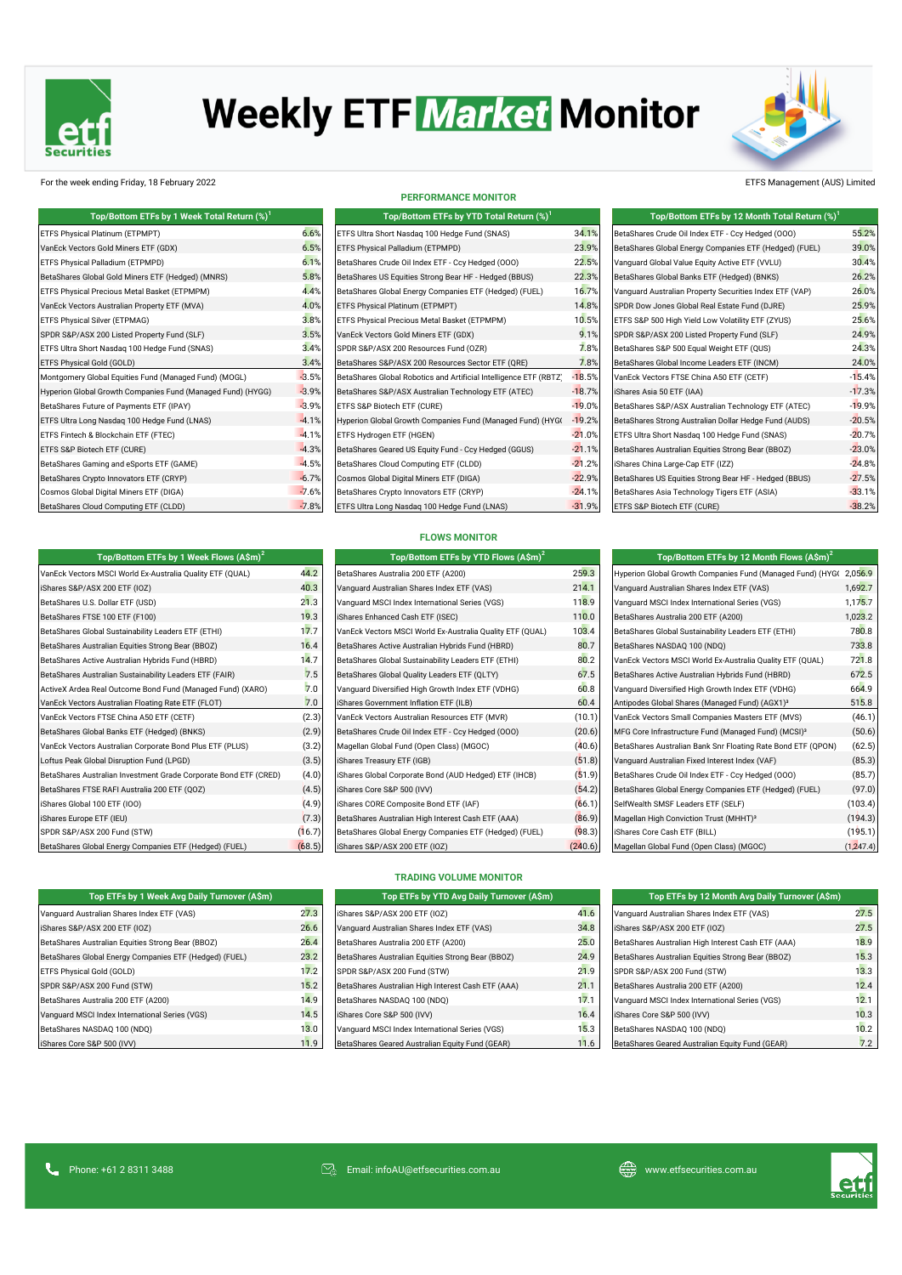

# **Weekly ETF Market Monitor**



### For the week ending Friday, 18 February 2022 ETFS Management (AUS) Limited

| Top/Bottom ETFs by 1 Week Total Return (%) <sup>1</sup>     |        |
|-------------------------------------------------------------|--------|
| ETFS Physical Platinum (ETPMPT)                             | 6.6    |
| VanEck Vectors Gold Miners ETF (GDX)                        | 6.5    |
| ETFS Physical Palladium (ETPMPD)                            | 6.1    |
| BetaShares Global Gold Miners ETF (Hedged) (MNRS)           | 5.8    |
| ETFS Physical Precious Metal Basket (ETPMPM)                | 4.4    |
| VanEck Vectors Australian Property ETF (MVA)                | 4.0    |
| ETFS Physical Silver (ETPMAG)                               | 3.8    |
| SPDR S&P/ASX 200 Listed Property Fund (SLF)                 | 3.5    |
| ETFS Ultra Short Nasdaq 100 Hedge Fund (SNAS)               | 3.4    |
| ETFS Physical Gold (GOLD)                                   | 3.4    |
| Montgomery Global Equities Fund (Managed Fund) (MOGL)       | $-3.5$ |
| Hyperion Global Growth Companies Fund (Managed Fund) (HYGG) | $-3.9$ |
| BetaShares Future of Payments ETF (IPAY)                    | $-3.9$ |
| ETFS Ultra Long Nasdag 100 Hedge Fund (LNAS)                | $-4.1$ |
| ETFS Fintech & Blockchain ETF (FTEC)                        | $-4.1$ |
| ETFS S&P Biotech ETF (CURE)                                 | $-4.3$ |
| BetaShares Gaming and eSports ETF (GAME)                    | $-4.5$ |
| BetaShares Crypto Innovators ETF (CRYP)                     | $-6.7$ |
| Cosmos Global Digital Miners ETF (DIGA)                     | $-7.6$ |
| BetaShares Cloud Computing ETF (CLDD)                       | $-7.8$ |

#### **PERFORMANCE MONITOR**

|               | Top/Bottom ETFs by YTD Total Return $(\%)^1$                      |          | Top/Bottom ETFs by 12 Month Total Return (%) <sup>1</sup> |          |
|---------------|-------------------------------------------------------------------|----------|-----------------------------------------------------------|----------|
| %             | ETFS Ultra Short Nasdag 100 Hedge Fund (SNAS)                     | 34.1%    | BetaShares Crude Oil Index ETF - Ccy Hedged (000)         | 55.2%    |
| $\frac{1}{6}$ | ETFS Physical Palladium (ETPMPD)                                  | 23.9%    | BetaShares Global Energy Companies ETF (Hedged) (FUEL)    | 39.0%    |
| %             | BetaShares Crude Oil Index ETF - Ccy Hedged (000)                 | 22.5%    | Vanquard Global Value Equity Active ETF (VVLU)            | 30.4%    |
| $\%$          | BetaShares US Equities Strong Bear HF - Hedged (BBUS)             | 22.3%    | BetaShares Global Banks ETF (Hedged) (BNKS)               | 26.2%    |
| $\%$          | BetaShares Global Energy Companies ETF (Hedged) (FUEL)            | 16.7%    | Vanquard Australian Property Securities Index ETF (VAP)   | 26.0%    |
| %             | ETFS Physical Platinum (ETPMPT)                                   | 14.8%    | SPDR Dow Jones Global Real Estate Fund (DJRE)             | 25.9%    |
| %             | ETFS Physical Precious Metal Basket (ETPMPM)                      | 10.5%    | ETFS S&P 500 High Yield Low Volatility ETF (ZYUS)         | 25.6%    |
| $\%$          | VanEck Vectors Gold Miners ETF (GDX)                              | 9.1%     | SPDR S&P/ASX 200 Listed Property Fund (SLF)               | 24.9%    |
| $\%$          | SPDR S&P/ASX 200 Resources Fund (OZR)                             | 7.8%     | BetaShares S&P 500 Equal Weight ETF (QUS)                 | 24.3%    |
| %             | BetaShares S&P/ASX 200 Resources Sector ETF (QRE)                 | 7.8%     | BetaShares Global Income Leaders ETF (INCM)               | 24.0%    |
| i%            | BetaShares Global Robotics and Artificial Intelligence ETF (RBTZ) | $-18.5%$ | VanEck Vectors FTSE China A50 ETF (CETF)                  | $-15.4%$ |
| %             | BetaShares S&P/ASX Australian Technology ETF (ATEC)               | $-18.7%$ | iShares Asia 50 ETF (IAA)                                 | $-17.3%$ |
| %             | ETFS S&P Biotech ETF (CURE)                                       | $-19.0%$ | BetaShares S&P/ASX Australian Technology ETF (ATEC)       | $-19.9%$ |
| $\%$          | Hyperion Global Growth Companies Fund (Managed Fund) (HYG(        | $-19.2%$ | BetaShares Strong Australian Dollar Hedge Fund (AUDS)     | $-20.5%$ |
| $\%$          | ETFS Hydrogen ETF (HGEN)                                          | $-21.0%$ | ETFS Ultra Short Nasdag 100 Hedge Fund (SNAS)             | $-20.7%$ |
| %             | BetaShares Geared US Equity Fund - Ccy Hedged (GGUS)              | $-21.1%$ | BetaShares Australian Equities Strong Bear (BBOZ)         | $-23.0%$ |
| $\%$          | BetaShares Cloud Computing ETF (CLDD)                             | $-21.2%$ | iShares China Large-Cap ETF (IZZ)                         | $-24.8%$ |
| %             | Cosmos Global Digital Miners ETF (DIGA)                           | $-22.9%$ | BetaShares US Equities Strong Bear HF - Hedged (BBUS)     | $-27.5%$ |
| %             | BetaShares Crypto Innovators ETF (CRYP)                           | $-24.1%$ | BetaShares Asia Technology Tigers ETF (ASIA)              | $-33.1%$ |
| %             | ETFS Ultra Long Nasdaq 100 Hedge Fund (LNAS)                      | $-31.9%$ | ETFS S&P Biotech ETF (CURE)                               | $-38.2%$ |

## 8. BetaShares Crude Oil Index ETF - Ccy Hedged (OOO) 55.2% **Pallage Miners Commant Mineral Pallacies** ETF (Hedged) (FUEL) 89.0% BetaShares Global Energy Companies ETF (Hedged) (FUEL) Formal Palladium (Equity Active ETF (VVLU) 8.1% BetaShares Conservative ETF (VVLU) BetaShares Global Banks ETF (Hedged) (BNKS) 3.8% BetaShares Global Banks ETF (Hedged) (BNKS) Vanguard Australian Property Securities Index ETF (VAP) 26.0% SPDR Dow Jones Global Real Estate Fund (DJRE) 25.9% 2.9% ETFS S&P 500 High Yield Low Volatility ETF (ZYUS) 25.6% SPDR S&P/ASX 200 Listed Property Fund (SLF) 3.5% SPDR S&P/ASX 200 Listed Property Fund (SLF)  $\text{BetaShares S\&P 500}$  Equal Weight ETF (QUS)  $24.3\%$ BetaShares Global Income Leaders ETF (INCM) 24.0% VanEck Vectors FTSE China A50 ETF (CETF) - 3.5.4% AUDUSD Curncy Hyperion Global Growth Companies Fund (Managed Fund) (HYGG) -3.9% BetaShares S&P/ASX Australian Technology ETF (ATEC) -18.7% iShares Asia 50 ETF (IAA) -17.3% BetaShares S&P/ASX Australian Technology ETF (ATEC) --<mark>19</mark>.9% AUDJPY Curncy ETFS Ultra Long Nasdaq 100 Hedge Fund (LNAS) -4.1% Hyperion Global Growth Companies Fund (Managed Fund) (HYGG) -19.2% BetaShares Strong Australian Dollar Hedge Fund (AUDS) -20.5% GTAUD10Y Govt ETFS Fintech & Blockchain ETF (FTEC) -4.1% ETFS Hydrogen ETF (HGEN) -21.0% ETFS Ultra Short Nasdaq 100 Hedge Fund (SNAS) -20.7% SPX Index ETFS S&P Biotech ETF (CURE) -4.3% BetaShares Geared US Equity Fund - Ccy Hedged (GGUS) -21.1% BetaShares Australian Equities Strong Bear (BBOZ) -23.0% Shares China Large-Cap ETF (IZZ) -4.5% BetaShares China Large-Cap ETF (IZZ) NKY Index BetaShares Crypto Innovators ETF (CRYP) -6.7% Cosmos Global Digital Miners ETF (DIGA) -22.9% BetaShares US Equities Strong Bear HF - Hedged (BBUS) -27.5% P<sub>8</sub> ETFS S&P Biotech ETF (CURE) -7.8% ETFS Nasdaq 100 Hedge Fund (LNAS) -38.2% **Top/Bottom ETFs by 12 Month Total Return (%)<sup>1</sup>**

| <b>FLOWS MONITOR</b> |  |  |  |
|----------------------|--|--|--|
|                      |  |  |  |

| Top/Bottom ETFs by 1 Week Flows $(A\sin)^2$                      |        | Top/Bottom ETFs by YTD Flows (A\$m) <sup>2</sup>          | Top/Bottom ETFs by 12 Month Flows $(A\sin^2)$ |                                                                 |            |
|------------------------------------------------------------------|--------|-----------------------------------------------------------|-----------------------------------------------|-----------------------------------------------------------------|------------|
| VanEck Vectors MSCI World Ex-Australia Quality ETF (QUAL)        | 44.2   | BetaShares Australia 200 ETF (A200)                       | 259.3                                         | Hyperion Global Growth Companies Fund (Managed Fund) (HYG(      | 2.056.9    |
| iShares S&P/ASX 200 ETF (IOZ)                                    | 40.3   | Vanguard Australian Shares Index ETF (VAS)                | 214.1                                         | Vanguard Australian Shares Index ETF (VAS)                      | 1,692.7    |
| BetaShares U.S. Dollar ETF (USD)                                 | 21.3   | Vanguard MSCI Index International Series (VGS)            | 118.9                                         | Vanguard MSCI Index International Series (VGS)                  | 1,175.7    |
| BetaShares FTSE 100 ETF (F100)                                   | 19.3   | iShares Enhanced Cash ETF (ISEC)                          | 110.0                                         | BetaShares Australia 200 ETF (A200)                             | 1,023.2    |
| BetaShares Global Sustainability Leaders ETF (ETHI)              | 17.7   | VanEck Vectors MSCI World Ex-Australia Quality ETF (QUAL) | 103.4                                         | BetaShares Global Sustainability Leaders ETF (ETHI)             | 780.8      |
| BetaShares Australian Equities Strong Bear (BBOZ)                | 16.4   | BetaShares Active Australian Hybrids Fund (HBRD)          | 80.7                                          | BetaShares NASDAQ 100 (NDQ)                                     | 733.8      |
| BetaShares Active Australian Hybrids Fund (HBRD)                 | 14.7   | BetaShares Global Sustainability Leaders ETF (ETHI)       | 80.2                                          | VanEck Vectors MSCI World Ex-Australia Quality ETF (QUAL)       | 721.8      |
| BetaShares Australian Sustainability Leaders ETF (FAIR)          | 7.5    | BetaShares Global Quality Leaders ETF (QLTY)              | 67.5                                          | BetaShares Active Australian Hybrids Fund (HBRD)                | 672.5      |
| ActiveX Ardea Real Outcome Bond Fund (Managed Fund) (XARO)       | 7.0    | Vanguard Diversified High Growth Index ETF (VDHG)         | 60.8                                          | Vanguard Diversified High Growth Index ETF (VDHG)               | 664.9      |
| VanEck Vectors Australian Floating Rate ETF (FLOT)               | 7.0    | iShares Government Inflation ETF (ILB)                    | 60.4                                          | Antipodes Global Shares (Managed Fund) (AGX1) <sup>3</sup>      | 515.8      |
| VanEck Vectors FTSE China A50 ETF (CETF)                         | (2.3)  | VanEck Vectors Australian Resources ETF (MVR)             | (10.1)                                        | VanEck Vectors Small Companies Masters ETF (MVS)                | (46.1)     |
| BetaShares Global Banks ETF (Hedged) (BNKS)                      | (2.9)  | BetaShares Crude Oil Index ETF - Ccy Hedged (000)         | (20.6)                                        | MFG Core Infrastructure Fund (Managed Fund) (MCSI) <sup>3</sup> | (50.6)     |
| VanEck Vectors Australian Corporate Bond Plus ETF (PLUS)         | (3.2)  | Magellan Global Fund (Open Class) (MGOC)                  | (40.6)                                        | BetaShares Australian Bank Snr Floating Rate Bond ETF (QPON)    | (62.5)     |
| Loftus Peak Global Disruption Fund (LPGD)                        | (3.5)  | iShares Treasury ETF (IGB)                                | (51.8)                                        | Vanguard Australian Fixed Interest Index (VAF)                  | (85.3)     |
| BetaShares Australian Investment Grade Corporate Bond ETF (CRED) | (4.0)  | iShares Global Corporate Bond (AUD Hedged) ETF (IHCB)     | (51.9)                                        | BetaShares Crude Oil Index ETF - Ccy Hedged (000)               | (85.7)     |
| BetaShares FTSE RAFI Australia 200 ETF (QOZ)                     | (4.5)  | iShares Core S&P 500 (IVV)                                | (54.2)                                        | BetaShares Global Energy Companies ETF (Hedged) (FUEL)          | (97.0)     |
| iShares Global 100 ETF (IOO)                                     | (4.9)  | iShares CORE Composite Bond ETF (IAF)                     | (66.1)                                        | SelfWealth SMSF Leaders ETF (SELF)                              | (103.4)    |
| iShares Europe ETF (IEU)                                         | (7.3)  | BetaShares Australian High Interest Cash ETF (AAA)        | (86.9)                                        | Magellan High Conviction Trust (MHHT) <sup>3</sup>              | (194.3)    |
| SPDR S&P/ASX 200 Fund (STW)                                      | (16.7) | BetaShares Global Energy Companies ETF (Hedged) (FUEL)    | (98.3)                                        | iShares Core Cash ETF (BILL)                                    | (195.1)    |
| BetaShares Global Energy Companies ETF (Hedged) (FUEL)           | (68.5) | iShares S&P/ASX 200 ETF (IOZ)                             | (240.6)                                       | Magellan Global Fund (Open Class) (MGOC)                        | (1, 247.4) |

| Top/Bottom ETFs by 12 Month Flows $(A\sin^2)$                     |         |
|-------------------------------------------------------------------|---------|
| Hyperion Global Growth Companies Fund (Managed Fund) (HYG(2,056.9 |         |
| Vanguard Australian Shares Index ETF (VAS)                        | 1,692.7 |
| Vanquard MSCI Index International Series (VGS)                    | 1,175.7 |
| BetaShares Australia 200 ETF (A200)                               | 1,023.2 |
| BetaShares Global Sustainability Leaders ETF (ETHI)               | 780.8   |
| BetaShares NASDAQ 100 (NDQ)                                       | 733.8   |
| VanEck Vectors MSCI World Ex-Australia Quality ETF (QUAL)         | 721.8   |
| BetaShares Active Australian Hybrids Fund (HBRD)                  | 672.5   |
| Vanquard Diversified High Growth Index ETF (VDHG)                 | 664.9   |
| Antipodes Global Shares (Managed Fund) (AGX1) <sup>3</sup>        | 515.8   |
| VanEck Vectors Small Companies Masters ETF (MVS)                  | (46.1)  |
| MFG Core Infrastructure Fund (Managed Fund) (MCSI) <sup>3</sup>   | (50.6)  |
| BetaShares Australian Bank Snr Floating Rate Bond ETF (QPON)      | (62.5)  |
| Vanguard Australian Fixed Interest Index (VAF)                    | (85.3)  |
| BetaShares Crude Oil Index ETF - Ccy Hedged (000)                 | (85.7)  |
| BetaShares Global Energy Companies ETF (Hedged) (FUEL)            | (97.0)  |
| SelfWealth SMSF Leaders ETF (SELF)                                | (103.4) |
| Magellan High Conviction Trust (MHHT) <sup>3</sup>                | (194.3) |
| iShares Core Cash ETF (BILL)                                      | (195.1) |
| Manellan Clobal Eund (Open Class) (MCOC)                          | (12171) |

| Top ETFs by 1 Week Avg Daily Turnover (ASm)            |     |
|--------------------------------------------------------|-----|
| Vanquard Australian Shares Index ETF (VAS)             | 27  |
| iShares S&P/ASX 200 ETF (IOZ)                          | 26  |
| BetaShares Australian Equities Strong Bear (BBOZ)      | 26  |
| BetaShares Global Energy Companies ETF (Hedged) (FUEL) | 23  |
| ETFS Physical Gold (GOLD)                              | 17  |
| SPDR S&P/ASX 200 Fund (STW)                            | 15  |
| BetaShares Australia 200 ETF (A200)                    | 14  |
| Vanquard MSCI Index International Series (VGS)         | 14  |
| BetaShares NASDAQ 100 (NDQ)                            | 13  |
| IShares Core S&P 500 (IVV)                             | 11. |

## **TRADING VOLUME MONITOR**

|                | Top ETFs by YTD Avg Daily Turnover (A\$m)          | Top ETFs by 12 Month Avg Daily Turnover (A\$m) |                                                    |      |  |
|----------------|----------------------------------------------------|------------------------------------------------|----------------------------------------------------|------|--|
| $\cdot$ 3      | iShares S&P/ASX 200 ETF (IOZ)                      | 41.6                                           | Vanquard Australian Shares Index ETF (VAS)         | 27.5 |  |
| 6.6            | Vanquard Australian Shares Index ETF (VAS)         | 34.8                                           | iShares S&P/ASX 200 ETF (IOZ)                      | 27.5 |  |
| $\overline{A}$ | BetaShares Australia 200 ETF (A200)                | 25.0                                           | BetaShares Australian High Interest Cash ETF (AAA) | 18.9 |  |
| $\cdot$ 2      | BetaShares Australian Equities Strong Bear (BBOZ)  | 24.9                                           | BetaShares Australian Equities Strong Bear (BBOZ)  | 15.3 |  |
| $\overline{2}$ | SPDR S&P/ASX 200 Fund (STW)                        | 21.9                                           | SPDR S&P/ASX 200 Fund (STW)                        | 13.3 |  |
| $\cdot$ 2      | BetaShares Australian High Interest Cash ETF (AAA) | 21.1                                           | BetaShares Australia 200 ETF (A200)                | 12.4 |  |
| $\overline{9}$ | BetaShares NASDAO 100 (NDO)                        | 17.1                                           | Vanquard MSCI Index International Series (VGS)     | 12.1 |  |
| .5             | iShares Core S&P 500 (IVV)                         | 16.4                                           | iShares Core S&P 500 (IVV)                         | 10.3 |  |
| $\overline{0}$ | Vanquard MSCI Index International Series (VGS)     | 15.3                                           | BetaShares NASDAQ 100 (NDQ)                        | 10.2 |  |
| $\overline{9}$ | BetaShares Geared Australian Equity Fund (GEAR)    | 11.6                                           | BetaShares Geared Australian Equity Fund (GEAR)    | 7.2  |  |